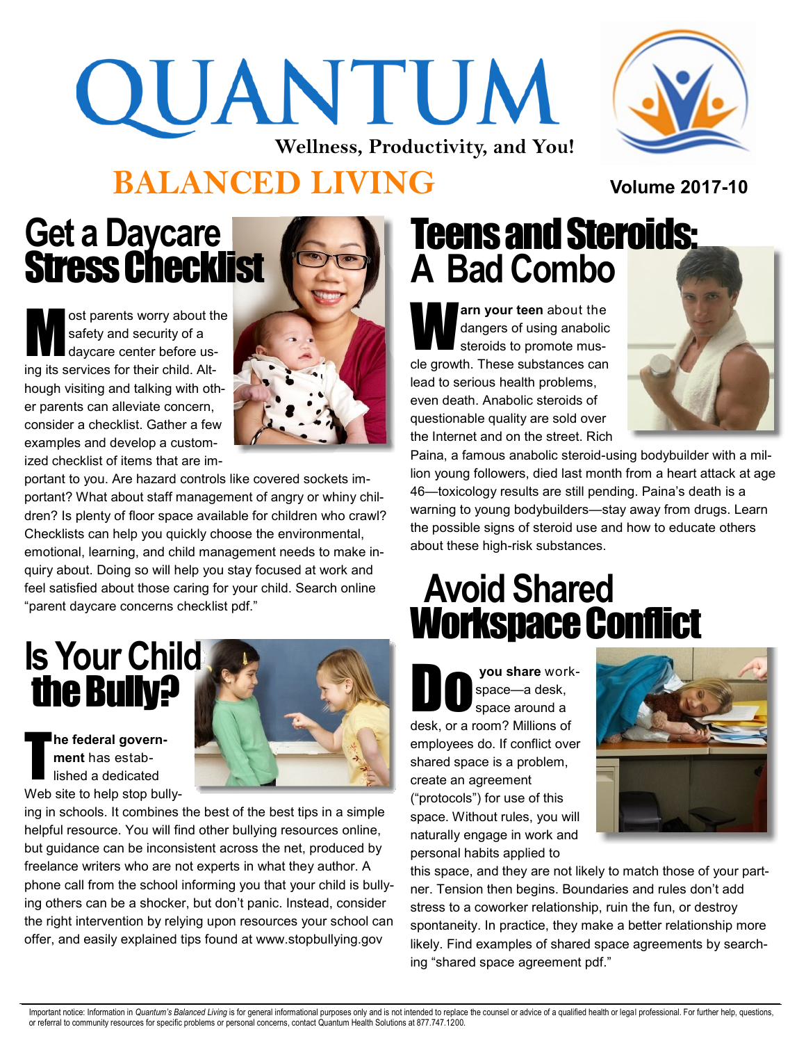# QUANTUM **Wellness, Productivity, and You!**



**Volume 2017-10**

## **BALANCED LIVING**

## Get a Daycare Stress Checklist

M ost parents worry about the safety and security of a daycare center before using its services for their child. Although visiting and talking with other parents can alleviate concern, consider a checklist. Gather a few examples and develop a customized checklist of items that are im-



portant to you. Are hazard controls like covered sockets important? What about staff management of angry or whiny children? Is plenty of floor space available for children who crawl? Checklists can help you quickly choose the environmental, emotional, learning, and child management needs to make inquiry about. Doing so will help you stay focused at work and feel satisfied about those caring for your child. Search online "parent daycare concerns checklist pdf."

# **Is Your Child**  the Bully?

T **he federal government** has established a dedicated Web site to help stop bully-



# Teens and Steroids: **A Bad Combo**

W **arn your teen** about the dangers of using anabolic steroids to promote muscle growth. These substances can lead to serious health problems, even death. Anabolic steroids of questionable quality are sold over the Internet and on the street. Rich



Paina, a famous anabolic steroid-using bodybuilder with a million young followers, died last month from a heart attack at age 46—toxicology results are still pending. Paina's death is a warning to young bodybuilders—stay away from drugs. Learn the possible signs of steroid use and how to educate others about these high-risk substances.

# **Avoid Shared**  Workspace Conflict

you share workspace—a desk, space around a desk, or a room? Millions of employees do. If conflict over shared space is a problem, create an agreement ("protocols") for use of this space. Without rules, you will naturally engage in work and personal habits applied to



this space, and they are not likely to match those of your partner. Tension then begins. Boundaries and rules don't add stress to a coworker relationship, ruin the fun, or destroy spontaneity. In practice, they make a better relationship more likely. Find examples of shared space agreements by searching "shared space agreement pdf."

Important notice: Information in Quantum's Balanced Living is for general informational purposes only and is not intended to replace the counsel or advice of a qualified health or legal professional. For further help, ques or referral to community resources for specific problems or personal concerns, contact Quantum Health Solutions at 877.747.1200.